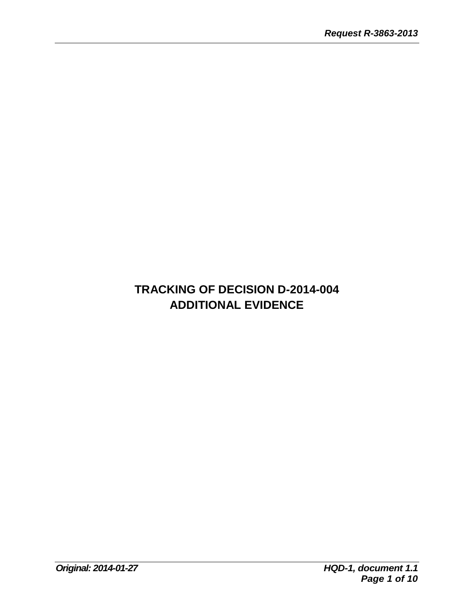# **TRACKING OF DECISION D-2014-004 ADDITIONAL EVIDENCE**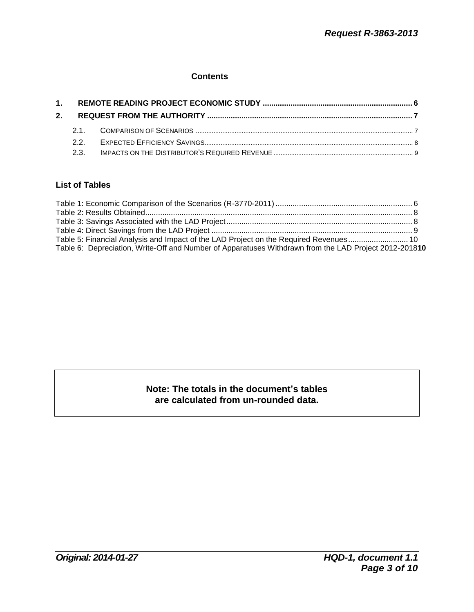#### **Contents**

### **List of Tables**

| Table 5: Financial Analysis and Impact of the LAD Project on the Required Revenues 10                 |  |
|-------------------------------------------------------------------------------------------------------|--|
| Table 6: Depreciation, Write-Off and Number of Apparatuses Withdrawn from the LAD Project 2012-201810 |  |

## **Note: The totals in the document's tables are calculated from un-rounded data.**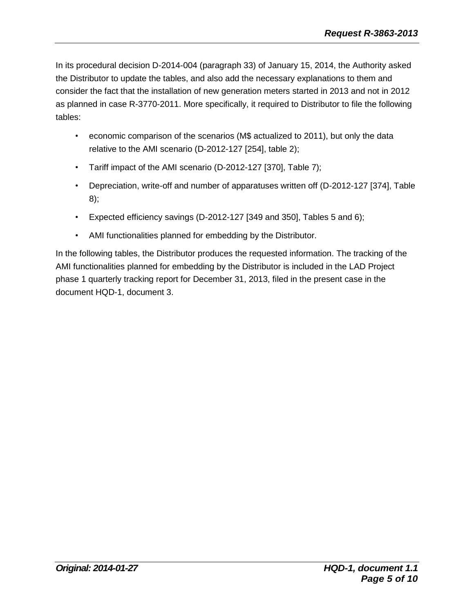In its procedural decision D-2014-004 (paragraph 33) of January 15, 2014, the Authority asked the Distributor to update the tables, and also add the necessary explanations to them and consider the fact that the installation of new generation meters started in 2013 and not in 2012 as planned in case R-3770-2011. More specifically, it required to Distributor to file the following tables:

- economic comparison of the scenarios (M\$ actualized to 2011), but only the data relative to the AMI scenario (D-2012-127 [254], table 2);
- Tariff impact of the AMI scenario (D-2012-127 [370], Table 7);
- Depreciation, write-off and number of apparatuses written off (D-2012-127 [374], Table 8);
- Expected efficiency savings (D-2012-127 [349 and 350], Tables 5 and 6);
- AMI functionalities planned for embedding by the Distributor.

In the following tables, the Distributor produces the requested information. The tracking of the AMI functionalities planned for embedding by the Distributor is included in the LAD Project phase 1 quarterly tracking report for December 31, 2013, filed in the present case in the document HQD-1, document 3.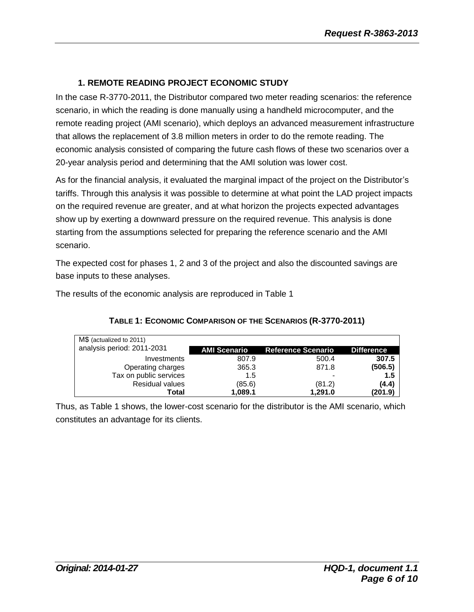## **1. REMOTE READING PROJECT ECONOMIC STUDY**

In the case R-3770-2011, the Distributor compared two meter reading scenarios: the reference scenario, in which the reading is done manually using a handheld microcomputer, and the remote reading project (AMI scenario), which deploys an advanced measurement infrastructure that allows the replacement of 3.8 million meters in order to do the remote reading. The economic analysis consisted of comparing the future cash flows of these two scenarios over a 20-year analysis period and determining that the AMI solution was lower cost.

As for the financial analysis, it evaluated the marginal impact of the project on the Distributor's tariffs. Through this analysis it was possible to determine at what point the LAD project impacts on the required revenue are greater, and at what horizon the projects expected advantages show up by exerting a downward pressure on the required revenue. This analysis is done starting from the assumptions selected for preparing the reference scenario and the AMI scenario.

The expected cost for phases 1, 2 and 3 of the project and also the discounted savings are base inputs to these analyses.

The results of the economic analysis are reproduced in Table 1

| M\$ (actualized to 2011)<br>analysis period: 2011-2031 | <b>AMI Scenario</b> | <b>Reference Scenario</b> | <b>Difference</b> |
|--------------------------------------------------------|---------------------|---------------------------|-------------------|
| Investments                                            | 807.9               | 500.4                     | 307.5             |
| Operating charges                                      | 365.3               | 871.8                     | (506.5)           |
| Tax on public services                                 | 1.5                 |                           | 1.5               |
| <b>Residual values</b>                                 | (85.6)              | (81.2)                    | (4.4)             |
| Total                                                  | 1,089.1             | 1,291.0                   | (201.9)           |

### **TABLE 1: ECONOMIC COMPARISON OF THE SCENARIOS (R-3770-2011)**

Thus, as Table 1 shows, the lower-cost scenario for the distributor is the AMI scenario, which constitutes an advantage for its clients.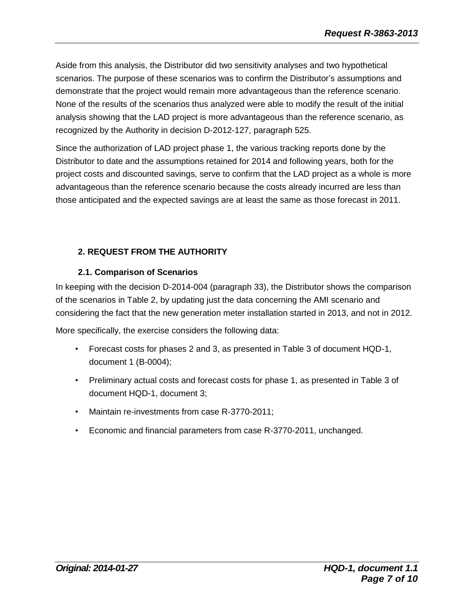Aside from this analysis, the Distributor did two sensitivity analyses and two hypothetical scenarios. The purpose of these scenarios was to confirm the Distributor's assumptions and demonstrate that the project would remain more advantageous than the reference scenario. None of the results of the scenarios thus analyzed were able to modify the result of the initial analysis showing that the LAD project is more advantageous than the reference scenario, as recognized by the Authority in decision D-2012-127, paragraph 525.

Since the authorization of LAD project phase 1, the various tracking reports done by the Distributor to date and the assumptions retained for 2014 and following years, both for the project costs and discounted savings, serve to confirm that the LAD project as a whole is more advantageous than the reference scenario because the costs already incurred are less than those anticipated and the expected savings are at least the same as those forecast in 2011.

# **2. REQUEST FROM THE AUTHORITY**

# **2.1. Comparison of Scenarios**

In keeping with the decision D-2014-004 (paragraph 33), the Distributor shows the comparison of the scenarios in Table 2, by updating just the data concerning the AMI scenario and considering the fact that the new generation meter installation started in 2013, and not in 2012.

More specifically, the exercise considers the following data:

- Forecast costs for phases 2 and 3, as presented in Table 3 of document HQD-1, document 1 (B-0004);
- Preliminary actual costs and forecast costs for phase 1, as presented in Table 3 of document HQD-1, document 3;
- Maintain re-investments from case R-3770-2011;
- Economic and financial parameters from case R-3770-2011, unchanged.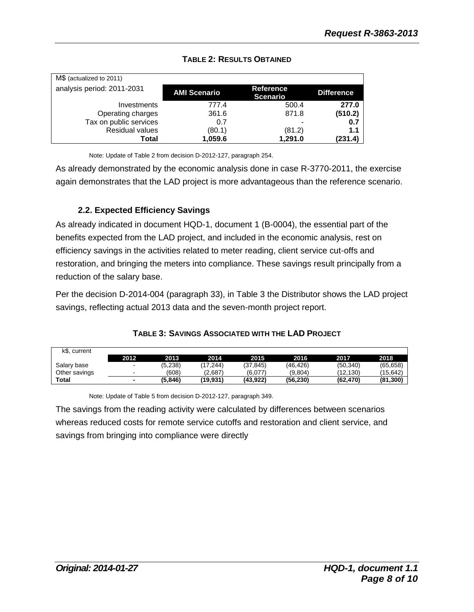| M\$ (actualized to 2011)   |                     |                                     |                   |  |  |  |  |  |
|----------------------------|---------------------|-------------------------------------|-------------------|--|--|--|--|--|
| analysis period: 2011-2031 | <b>AMI Scenario</b> | <b>Reference</b><br><b>Scenario</b> | <b>Difference</b> |  |  |  |  |  |
| Investments                | 777.4               | 500.4                               | 277.0             |  |  |  |  |  |
| Operating charges          | 361.6               | 871.8                               | (510.2)           |  |  |  |  |  |
| Tax on public services     | 0.7                 |                                     | 0.7               |  |  |  |  |  |
| Residual values            | (80.1)              | (81.2)                              | 1.1               |  |  |  |  |  |
| Total                      | 1,059.6             | 1,291.0                             | (231.4)           |  |  |  |  |  |

# **TABLE 2: RESULTS OBTAINED**

Note: Update of Table 2 from decision D-2012-127, paragraph 254.

As already demonstrated by the economic analysis done in case R-3770-2011, the exercise again demonstrates that the LAD project is more advantageous than the reference scenario.

# **2.2. Expected Efficiency Savings**

As already indicated in document HQD-1, document 1 (B-0004), the essential part of the benefits expected from the LAD project, and included in the economic analysis, rest on efficiency savings in the activities related to meter reading, client service cut-offs and restoration, and bringing the meters into compliance. These savings result principally from a reduction of the salary base.

Per the decision D-2014-004 (paragraph 33), in Table 3 the Distributor shows the LAD project savings, reflecting actual 2013 data and the seven-month project report.

| k\$, current  |      |         |          |          |           |           |           |
|---------------|------|---------|----------|----------|-----------|-----------|-----------|
|               | 2012 | 2013.   | 2014     | 2015     | 2016      | 2017      | 2018      |
| Salary base   |      | (5,238) | (17.244) | (37.845) | (46, 426) | (50, 340) | (65, 658) |
| Other savings |      | (608)   | (2.687)  | (6,077)  | (9,804)   | (12.130)  | (15.642)  |
| <b>Total</b>  |      | (5.846) | (19.931) | (43.922) | (56, 230) | (62.470)  | (81.300)  |

### **TABLE 3: SAVINGS ASSOCIATED WITH THE LAD PROJECT**

Note: Update of Table 5 from decision D-2012-127, paragraph 349.

The savings from the reading activity were calculated by differences between scenarios whereas reduced costs for remote service cutoffs and restoration and client service, and savings from bringing into compliance were directly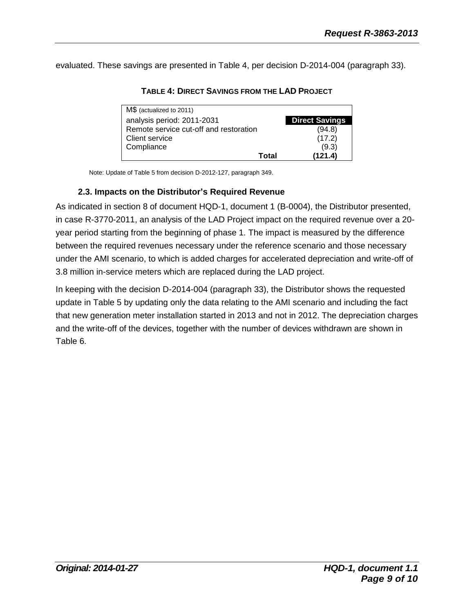evaluated. These savings are presented in Table 4, per decision D-2014-004 (paragraph 33).

| M\$ (actualized to 2011)               |       |                       |
|----------------------------------------|-------|-----------------------|
| analysis period: 2011-2031             |       | <b>Direct Savings</b> |
| Remote service cut-off and restoration |       | (94.8)                |
| <b>Client service</b>                  |       | (17.2)                |
| Compliance                             |       | (9.3)                 |
|                                        | Total | (121.4)               |

**TABLE 4: DIRECT SAVINGS FROM THE LAD PROJECT**

Note: Update of Table 5 from decision D-2012-127, paragraph 349.

#### **2.3. Impacts on the Distributor's Required Revenue**

As indicated in section 8 of document HQD-1, document 1 (B-0004), the Distributor presented, in case R-3770-2011, an analysis of the LAD Project impact on the required revenue over a 20 year period starting from the beginning of phase 1. The impact is measured by the difference between the required revenues necessary under the reference scenario and those necessary under the AMI scenario, to which is added charges for accelerated depreciation and write-off of 3.8 million in-service meters which are replaced during the LAD project.

In keeping with the decision D-2014-004 (paragraph 33), the Distributor shows the requested update in Table 5 by updating only the data relating to the AMI scenario and including the fact that new generation meter installation started in 2013 and not in 2012. The depreciation charges and the write-off of the devices, together with the number of devices withdrawn are shown in Table 6.